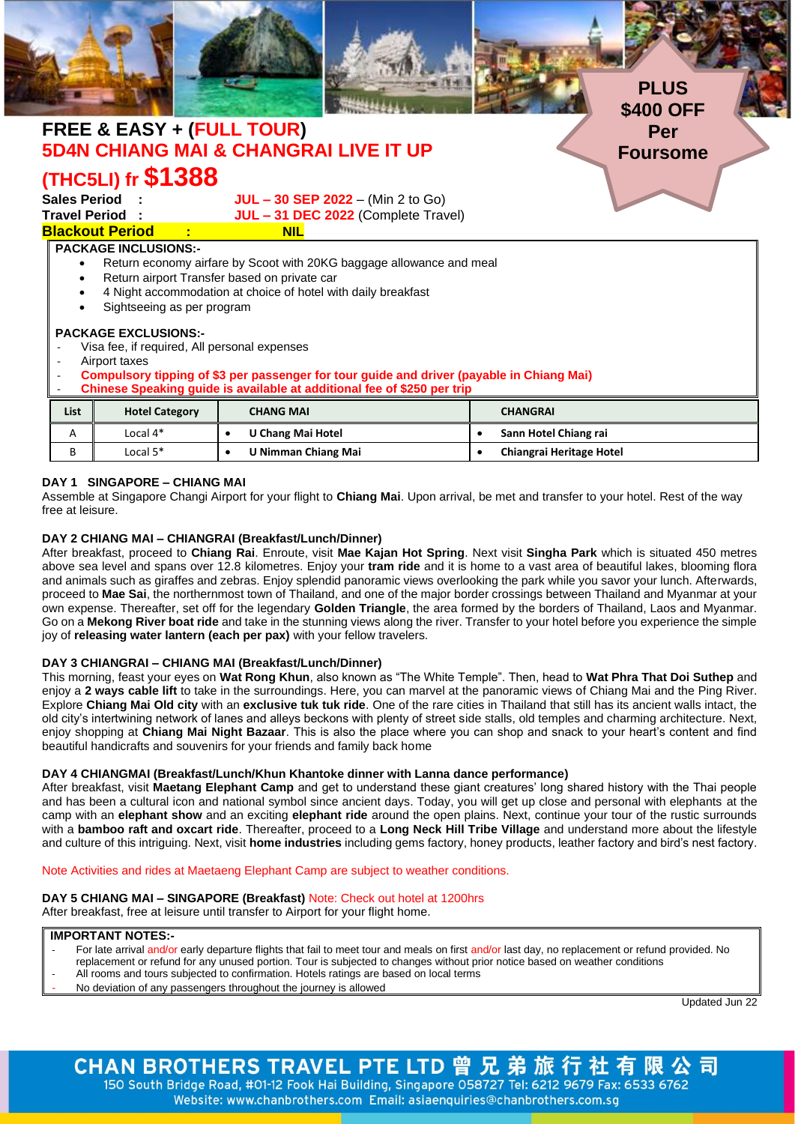

### - **Compulsory tipping of \$3 per passenger for tour guide and driver (payable in Chiang Mai)**

#### - **Chinese Speaking guide is available at additional fee of \$250 per trip**

| of through a pounding garage to a random at againformative of years por this |                       |                          |                          |  |  |  |  |  |  |
|------------------------------------------------------------------------------|-----------------------|--------------------------|--------------------------|--|--|--|--|--|--|
| List                                                                         | <b>Hotel Category</b> | <b>CHANG MAI</b>         | <b>CHANGRAI</b>          |  |  |  |  |  |  |
| А                                                                            | Local 4*              | <b>U Chang Mai Hotel</b> | Sann Hotel Chiang rai    |  |  |  |  |  |  |
|                                                                              | Local 5*              | U Nimman Chiang Mai      | Chiangrai Heritage Hotel |  |  |  |  |  |  |

### **DAY 1 SINGAPORE – CHIANG MAI**

Assemble at Singapore Changi Airport for your flight to **Chiang Mai**. Upon arrival, be met and transfer to your hotel. Rest of the way free at leisure.

#### **DAY 2 CHIANG MAI – CHIANGRAI (Breakfast/Lunch/Dinner)**

After breakfast, proceed to **Chiang Rai**. Enroute, visit **Mae Kajan Hot Spring**. Next visit **Singha Park** which is situated 450 metres above sea level and spans over 12.8 kilometres. Enjoy your **tram ride** and it is home to a vast area of beautiful lakes, blooming flora and animals such as giraffes and zebras. Enjoy splendid panoramic views overlooking the park while you savor your lunch. Afterwards, proceed to **Mae Sai**, the northernmost town of Thailand, and one of the major border crossings between Thailand and Myanmar at your own expense. Thereafter, set off for the legendary **Golden Triangle**, the area formed by the borders of Thailand, Laos and Myanmar. Go on a **Mekong River boat ride** and take in the stunning views along the river. Transfer to your hotel before you experience the simple joy of **releasing water lantern (each per pax)** with your fellow travelers.

## **DAY 3 CHIANGRAI – CHIANG MAI (Breakfast/Lunch/Dinner)**

This morning, feast your eyes on **Wat Rong Khun**, also known as "The White Temple". Then, head to **Wat Phra That Doi Suthep** and enjoy a **2 ways cable lift** to take in the surroundings. Here, you can marvel at the panoramic views of Chiang Mai and the Ping River. Explore **Chiang Mai Old city** with an **exclusive tuk tuk ride**. One of the rare cities in Thailand that still has its ancient walls intact, the old city's intertwining network of lanes and alleys beckons with plenty of street side stalls, old temples and charming architecture. Next, enjoy shopping at **Chiang Mai Night Bazaar**. This is also the place where you can shop and snack to your heart's content and find beautiful handicrafts and souvenirs for your friends and family back home

#### **DAY 4 CHIANGMAI (Breakfast/Lunch/Khun Khantoke dinner with Lanna dance performance)**

After breakfast, visit **Maetang Elephant Camp** and get to understand these giant creatures' long shared history with the Thai people and has been a cultural icon and national symbol since ancient days. Today, you will get up close and personal with elephants at the camp with an **elephant show** and an exciting **elephant ride** around the open plains. Next, continue your tour of the rustic surrounds with a **bamboo raft and oxcart ride**. Thereafter, proceed to a **Long Neck Hill Tribe Village** and understand more about the lifestyle and culture of this intriguing. Next, visit **home industries** including gems factory, honey products, leather factory and bird's nest factory.

Note Activities and rides at Maetaeng Elephant Camp are subject to weather conditions.

# **DAY 5 CHIANG MAI – SINGAPORE (Breakfast)** Note: Check out hotel at 1200hrs

After breakfast, free at leisure until transfer to Airport for your flight home.

## **IMPORTANT NOTES:-**

- For late arrival and/or early departure flights that fail to meet tour and meals on first and/or last day, no replacement or refund provided. No
	- replacement or refund for any unused portion. Tour is subjected to changes without prior notice based on weather conditions
- All rooms and tours subjected to confirmation. Hotels ratings are based on local terms
- No deviation of any passengers throughout the journey is allowed

Updated Jun 22